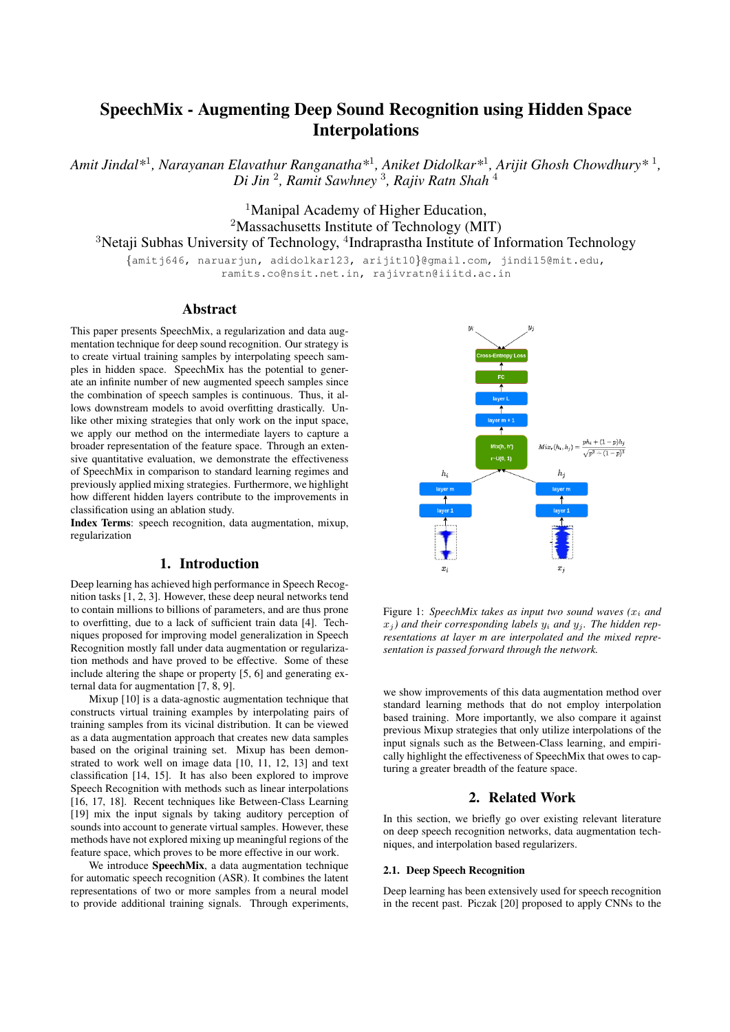# SpeechMix - Augmenting Deep Sound Recognition using Hidden Space Interpolations

*Amit Jindal\**<sup>1</sup> *, Narayanan Elavathur Ranganatha\**<sup>1</sup> *, Aniket Didolkar\**<sup>1</sup> *, Arijit Ghosh Chowdhury\** <sup>1</sup> *, Di Jin* <sup>2</sup> *, Ramit Sawhney* <sup>3</sup> *, Rajiv Ratn Shah* <sup>4</sup>

> <sup>1</sup>Manipal Academy of Higher Education, <sup>2</sup>Massachusetts Institute of Technology (MIT)

<sup>3</sup>Netaji Subhas University of Technology, <sup>4</sup>Indraprastha Institute of Information Technology

{amitj646, naruarjun, adidolkar123, arijit10}@gmail.com, jindi15@mit.edu, ramits.co@nsit.net.in, rajivratn@iiitd.ac.in

## Abstract

This paper presents SpeechMix, a regularization and data augmentation technique for deep sound recognition. Our strategy is to create virtual training samples by interpolating speech samples in hidden space. SpeechMix has the potential to generate an infinite number of new augmented speech samples since the combination of speech samples is continuous. Thus, it allows downstream models to avoid overfitting drastically. Unlike other mixing strategies that only work on the input space, we apply our method on the intermediate layers to capture a broader representation of the feature space. Through an extensive quantitative evaluation, we demonstrate the effectiveness of SpeechMix in comparison to standard learning regimes and previously applied mixing strategies. Furthermore, we highlight how different hidden layers contribute to the improvements in classification using an ablation study.

Index Terms: speech recognition, data augmentation, mixup, regularization

# 1. Introduction

Deep learning has achieved high performance in Speech Recognition tasks [1, 2, 3]. However, these deep neural networks tend to contain millions to billions of parameters, and are thus prone to overfitting, due to a lack of sufficient train data [4]. Techniques proposed for improving model generalization in Speech Recognition mostly fall under data augmentation or regularization methods and have proved to be effective. Some of these include altering the shape or property [5, 6] and generating external data for augmentation [7, 8, 9].

Mixup [10] is a data-agnostic augmentation technique that constructs virtual training examples by interpolating pairs of training samples from its vicinal distribution. It can be viewed as a data augmentation approach that creates new data samples based on the original training set. Mixup has been demonstrated to work well on image data [10, 11, 12, 13] and text classification [14, 15]. It has also been explored to improve Speech Recognition with methods such as linear interpolations [16, 17, 18]. Recent techniques like Between-Class Learning [19] mix the input signals by taking auditory perception of sounds into account to generate virtual samples. However, these methods have not explored mixing up meaningful regions of the feature space, which proves to be more effective in our work.

We introduce SpeechMix, a data augmentation technique for automatic speech recognition (ASR). It combines the latent representations of two or more samples from a neural model to provide additional training signals. Through experiments,



Figure 1: *SpeechMix takes as input two sound waves (*x<sup>i</sup> *and*  $x_i$ ) and their corresponding labels  $y_i$  and  $y_j$ . The hidden rep*resentations at layer m are interpolated and the mixed representation is passed forward through the network.*

we show improvements of this data augmentation method over standard learning methods that do not employ interpolation based training. More importantly, we also compare it against previous Mixup strategies that only utilize interpolations of the input signals such as the Between-Class learning, and empirically highlight the effectiveness of SpeechMix that owes to capturing a greater breadth of the feature space.

# 2. Related Work

In this section, we briefly go over existing relevant literature on deep speech recognition networks, data augmentation techniques, and interpolation based regularizers.

#### 2.1. Deep Speech Recognition

Deep learning has been extensively used for speech recognition in the recent past. Piczak [20] proposed to apply CNNs to the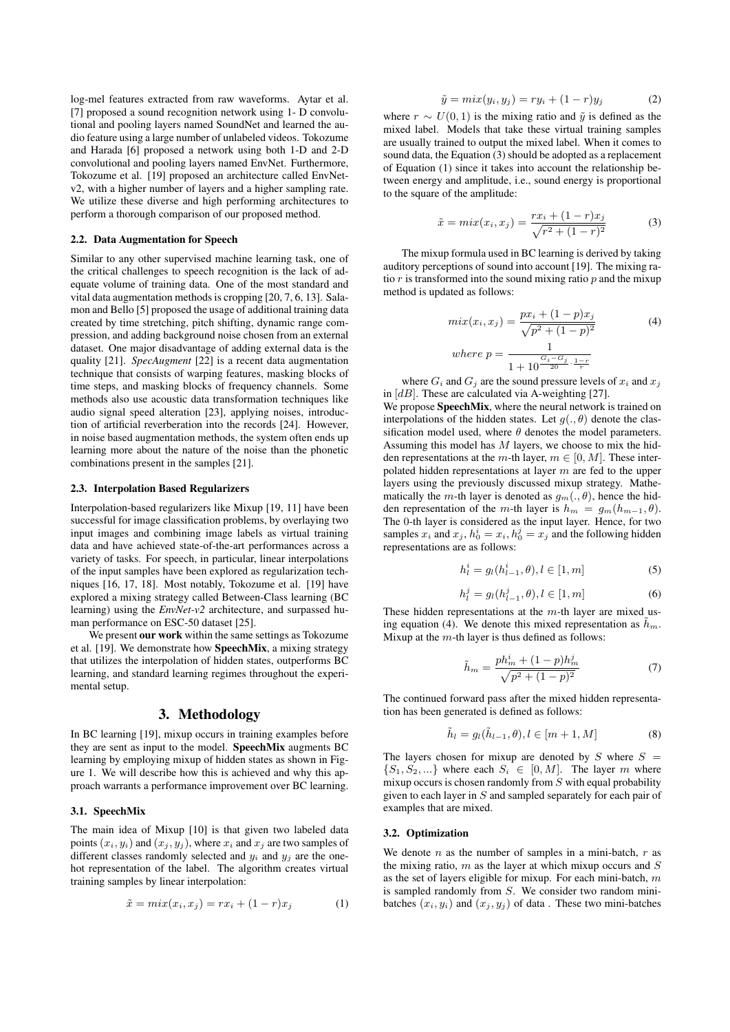log-mel features extracted from raw waveforms. Aytar et al. [7] proposed a sound recognition network using 1- D convolutional and pooling layers named SoundNet and learned the audio feature using a large number of unlabeled videos. Tokozume and Harada [6] proposed a network using both 1-D and 2-D convolutional and pooling layers named EnvNet. Furthermore, Tokozume et al. [19] proposed an architecture called EnvNetv2, with a higher number of layers and a higher sampling rate. We utilize these diverse and high performing architectures to perform a thorough comparison of our proposed method.

#### 2.2. Data Augmentation for Speech

Similar to any other supervised machine learning task, one of the critical challenges to speech recognition is the lack of adequate volume of training data. One of the most standard and vital data augmentation methods is cropping [20, 7, 6, 13]. Salamon and Bello [5] proposed the usage of additional training data created by time stretching, pitch shifting, dynamic range compression, and adding background noise chosen from an external dataset. One major disadvantage of adding external data is the quality [21]. *SpecAugment* [22] is a recent data augmentation technique that consists of warping features, masking blocks of time steps, and masking blocks of frequency channels. Some methods also use acoustic data transformation techniques like audio signal speed alteration [23], applying noises, introduction of artificial reverberation into the records [24]. However, in noise based augmentation methods, the system often ends up learning more about the nature of the noise than the phonetic combinations present in the samples [21].

#### 2.3. Interpolation Based Regularizers

Interpolation-based regularizers like Mixup [19, 11] have been successful for image classification problems, by overlaying two input images and combining image labels as virtual training data and have achieved state-of-the-art performances across a variety of tasks. For speech, in particular, linear interpolations of the input samples have been explored as regularization techniques [16, 17, 18]. Most notably, Tokozume et al. [19] have explored a mixing strategy called Between-Class learning (BC learning) using the *EnvNet-v2* architecture, and surpassed human performance on ESC-50 dataset [25].

We present our work within the same settings as Tokozume et al. [19]. We demonstrate how SpeechMix, a mixing strategy that utilizes the interpolation of hidden states, outperforms BC learning, and standard learning regimes throughout the experimental setup.

### 3. Methodology

In BC learning [19], mixup occurs in training examples before they are sent as input to the model. SpeechMix augments BC learning by employing mixup of hidden states as shown in Figure 1. We will describe how this is achieved and why this approach warrants a performance improvement over BC learning.

## 3.1. SpeechMix

The main idea of Mixup [10] is that given two labeled data points  $(x_i, y_i)$  and  $(x_i, y_j)$ , where  $x_i$  and  $x_j$  are two samples of different classes randomly selected and  $y_i$  and  $y_j$  are the onehot representation of the label. The algorithm creates virtual training samples by linear interpolation:

$$
\tilde{x} = mix(x_i, x_j) = rx_i + (1 - r)x_j \tag{1}
$$

$$
\tilde{y} = mix(y_i, y_j) = ry_i + (1 - r)y_j \tag{2}
$$

where  $r \sim U(0, 1)$  is the mixing ratio and  $\tilde{y}$  is defined as the mixed label. Models that take these virtual training samples are usually trained to output the mixed label. When it comes to sound data, the Equation  $(3)$  should be adopted as a replacement of Equation (1) since it takes into account the relationship between energy and amplitude, i.e., sound energy is proportional to the square of the amplitude:

$$
\tilde{x} = mix(x_i, x_j) = \frac{rx_i + (1 - r)x_j}{\sqrt{r^2 + (1 - r)^2}}
$$
(3)

The mixup formula used in BC learning is derived by taking auditory perceptions of sound into account [19]. The mixing ratio  $r$  is transformed into the sound mixing ratio  $p$  and the mixup method is updated as follows:

$$
mix(x_i, x_j) = \frac{px_i + (1 - p)x_j}{\sqrt{p^2 + (1 - p)^2}}
$$
\n(4)

\nwhere  $p = \frac{1}{1 + 10^{\frac{G_i - G_j}{20} \cdot \frac{1 - r}{r}}}$ 

where  $G_i$  and  $G_j$  are the sound pressure levels of  $x_i$  and  $x_j$ in  $[dB]$ . These are calculated via A-weighting [27].

We propose **SpeechMix**, where the neural network is trained on interpolations of the hidden states. Let  $q(.,\theta)$  denote the classification model used, where  $\theta$  denotes the model parameters. Assuming this model has  $M$  layers, we choose to mix the hidden representations at the m-th layer,  $m \in [0, M]$ . These interpolated hidden representations at layer  $m$  are fed to the upper layers using the previously discussed mixup strategy. Mathematically the m-th layer is denoted as  $g_m(.,\theta)$ , hence the hidden representation of the m-th layer is  $h_m = q_m(h_{m-1}, \theta)$ . The 0-th layer is considered as the input layer. Hence, for two samples  $x_i$  and  $x_j$ ,  $h_0^i = x_i$ ,  $h_0^j = x_j$  and the following hidden representations are as follows:

$$
h_l^i = g_l(h_{l-1}^i, \theta), l \in [1, m]
$$
 (5)

$$
h_l^j = g_l(h_{l-1}^j, \theta), l \in [1, m]
$$
 (6)

These hidden representations at the  $m$ -th layer are mixed using equation (4). We denote this mixed representation as  $\tilde{h}_m$ . Mixup at the  $m$ -th layer is thus defined as follows:

$$
\tilde{h}_m = \frac{ph_m^i + (1-p)h_m^j}{\sqrt{p^2 + (1-p)^2}}\tag{7}
$$

The continued forward pass after the mixed hidden representation has been generated is defined as follows:

$$
\tilde{h}_l = g_l(\tilde{h}_{l-1}, \theta), l \in [m+1, M] \tag{8}
$$

The layers chosen for mixup are denoted by  $S$  where  $S =$  $\{S_1, S_2, ...\}$  where each  $S_i \in [0, M]$ . The layer m where mixup occurs is chosen randomly from  $S$  with equal probability given to each layer in  $S$  and sampled separately for each pair of examples that are mixed.

#### 3.2. Optimization

We denote  $n$  as the number of samples in a mini-batch,  $r$  as the mixing ratio,  $m$  as the layer at which mixup occurs and  $S$ as the set of layers eligible for mixup. For each mini-batch,  $m$ is sampled randomly from S. We consider two random minibatches  $(x_i, y_i)$  and  $(x_j, y_j)$  of data. These two mini-batches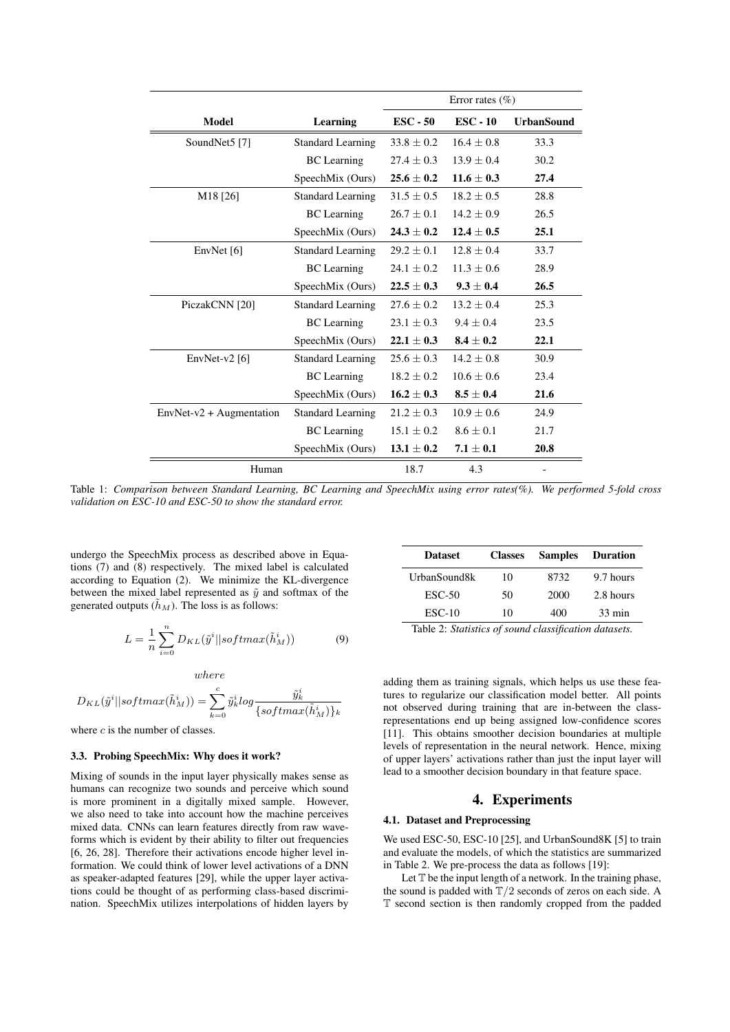|                            |                          | Error rates $(\% )$ |                   |                   |
|----------------------------|--------------------------|---------------------|-------------------|-------------------|
| Model                      | Learning                 | $\text{ESC} - 50$   | $\text{ESC} - 10$ | <b>UrbanSound</b> |
| SoundNet5 <sup>[7]</sup>   | <b>Standard Learning</b> | $33.8 \pm 0.2$      | $16.4 + 0.8$      | 33.3              |
|                            | <b>BC</b> Learning       | $27.4 \pm 0.3$      | $13.9 \pm 0.4$    | 30.2              |
|                            | SpeechMix (Ours)         | $25.6 + 0.2$        | $11.6 + 0.3$      | 27.4              |
| M <sub>18</sub> [26]       | <b>Standard Learning</b> | $31.5 + 0.5$        | $18.2 \pm 0.5$    | 28.8              |
|                            | <b>BC</b> Learning       | $26.7 \pm 0.1$      | $14.2 \pm 0.9$    | 26.5              |
|                            | SpeechMix (Ours)         | $24.3 \pm 0.2$      | $12.4 \pm 0.5$    | 25.1              |
| EnvNet $[6]$               | <b>Standard Learning</b> | $29.2 \pm 0.1$      | $12.8 + 0.4$      | 33.7              |
|                            | <b>BC</b> Learning       | $24.1 + 0.2$        | $11.3 + 0.6$      | 28.9              |
|                            | SpeechMix (Ours)         | $22.5 \pm 0.3$      | $9.3 \pm 0.4$     | 26.5              |
| PiczakCNN [20]             | <b>Standard Learning</b> | $27.6 \pm 0.2$      | $13.2 \pm 0.4$    | 25.3              |
|                            | <b>BC</b> Learning       | $23.1 \pm 0.3$      | $9.4 + 0.4$       | 23.5              |
|                            | SpeechMix (Ours)         | $22.1 + 0.3$        | $8.4 + 0.2$       | 22.1              |
| EnvNet- $v2$ [6]           | <b>Standard Learning</b> | $25.6 + 0.3$        | $14.2 + 0.8$      | 30.9              |
|                            | <b>BC</b> Learning       | $18.2 \pm 0.2$      | $10.6 \pm 0.6$    | 23.4              |
|                            | SpeechMix (Ours)         | $16.2 \pm 0.3$      | $8.5 + 0.4$       | 21.6              |
| $EnvNet-v2 + Augmentation$ | <b>Standard Learning</b> | $21.2 + 0.3$        | $10.9 + 0.6$      | 24.9              |
|                            | <b>BC</b> Learning       | $15.1 \pm 0.2$      | $8.6 + 0.1$       | 21.7              |
|                            | SpeechMix (Ours)         | $13.1 \pm 0.2$      | $7.1 \pm 0.1$     | 20.8              |
| Human                      |                          | 18.7                | 4.3               |                   |

Table 1: *Comparison between Standard Learning, BC Learning and SpeechMix using error rates(%). We performed 5-fold cross validation on ESC-10 and ESC-50 to show the standard error.*

undergo the SpeechMix process as described above in Equations (7) and (8) respectively. The mixed label is calculated according to Equation (2). We minimize the KL-divergence between the mixed label represented as  $\tilde{y}$  and softmax of the generated outputs  $(\tilde{h}_M)$ . The loss is as follows:

$$
L = \frac{1}{n} \sum_{i=0}^{n} D_{KL}(\tilde{y}^i || softmax(\tilde{h}^i_M))
$$
 (9)

where

$$
D_{KL}(\tilde{y}^i || softmax(\tilde{h}_M^i)) = \sum_{k=0}^c \tilde{y}_k^i log \frac{\tilde{y}_k^i}{\{softmax(\tilde{h}_M^i)\}_k}
$$

where  $c$  is the number of classes.

## 3.3. Probing SpeechMix: Why does it work?

Mixing of sounds in the input layer physically makes sense as humans can recognize two sounds and perceive which sound is more prominent in a digitally mixed sample. However, we also need to take into account how the machine perceives mixed data. CNNs can learn features directly from raw waveforms which is evident by their ability to filter out frequencies [6, 26, 28]. Therefore their activations encode higher level information. We could think of lower level activations of a DNN as speaker-adapted features [29], while the upper layer activations could be thought of as performing class-based discrimination. SpeechMix utilizes interpolations of hidden layers by

| <b>Dataset</b>  | <b>Classes</b> | <b>Samples</b> | <b>Duration</b>  |
|-----------------|----------------|----------------|------------------|
| UrbanSound8k    | 10             | 8732           | 9.7 hours        |
| $\text{ESC-50}$ | 50             | 2000           | 2.8 hours        |
| $ESC-10$        | 10             | 400            | $33 \text{ min}$ |

Table 2: *Statistics of sound classification datasets.*

adding them as training signals, which helps us use these features to regularize our classification model better. All points not observed during training that are in-between the classrepresentations end up being assigned low-confidence scores [11]. This obtains smoother decision boundaries at multiple levels of representation in the neural network. Hence, mixing of upper layers' activations rather than just the input layer will lead to a smoother decision boundary in that feature space.

# 4. Experiments

## 4.1. Dataset and Preprocessing

We used ESC-50, ESC-10 [25], and UrbanSound8K [5] to train and evaluate the models, of which the statistics are summarized in Table 2. We pre-process the data as follows [19]:

Let  $T$  be the input length of a network. In the training phase, the sound is padded with  $T/2$  seconds of zeros on each side. A T second section is then randomly cropped from the padded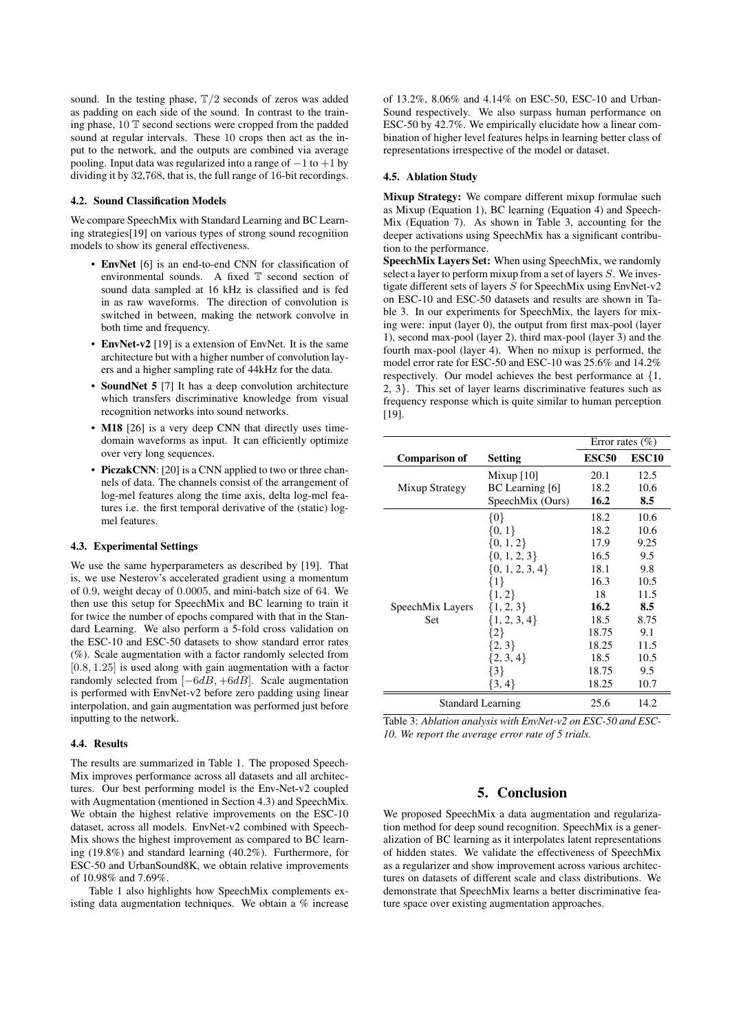sound. In the testing phase,  $T/2$  seconds of zeros was added as padding on each side of the sound. In contrast to the training phase, 10 T second sections were cropped from the padded sound at regular intervals. These 10 crops then act as the input to the network, and the outputs are combined via average pooling. Input data was regularized into a range of  $-1$  to  $+1$  by dividing it by 32,768, that is, the full range of 16-bit recordings.

#### 4.2. Sound Classification Models

We compare SpeechMix with Standard Learning and BC Learning strategies[19] on various types of strong sound recognition models to show its general effectiveness.

- EnvNet [6] is an end-to-end CNN for classification of environmental sounds. A fixed T second section of sound data sampled at 16 kHz is classified and is fed in as raw waveforms. The direction of convolution is switched in between, making the network convolve in both time and frequency.
- EnvNet-v2 [19] is a extension of EnvNet. It is the same architecture but with a higher number of convolution layers and a higher sampling rate of 44kHz for the data.
- **SoundNet 5** [7] It has a deep convolution architecture which transfers discriminative knowledge from visual recognition networks into sound networks.
- M18 [26] is a very deep CNN that directly uses timedomain waveforms as input. It can efficiently optimize over very long sequences.
- PiczakCNN: [20] is a CNN applied to two or three channels of data. The channels consist of the arrangement of log-mel features along the time axis, delta log-mel features i.e. the first temporal derivative of the (static) logmel features.

#### 4.3. Experimental Settings

We use the same hyperparameters as described by [19]. That is, we use Nesterov's accelerated gradient using a momentum of 0.9, weight decay of 0.0005, and mini-batch size of 64. We then use this setup for SpeechMix and BC learning to train it for twice the number of epochs compared with that in the Standard Learning. We also perform a 5-fold cross validation on the ESC-10 and ESC-50 datasets to show standard error rates (%). Scale augmentation with a factor randomly selected from  $[0.8, 1.25]$  is used along with gain augmentation with a factor randomly selected from  $[-6dB, +6dB]$ . Scale augmentation is performed with EnvNet-v2 before zero padding using linear interpolation, and gain augmentation was performed just before inputting to the network.

#### 4.4. Results

The results are summarized in Table 1. The proposed Speech-Mix improves performance across all datasets and all architectures. Our best performing model is the Env-Net-v2 coupled with Augmentation (mentioned in Section 4.3) and SpeechMix. We obtain the highest relative improvements on the ESC-10 dataset, across all models. EnvNet-v2 combined with Speech-Mix shows the highest improvement as compared to BC learning (19.8%) and standard learning (40.2%). Furthermore, for ESC-50 and UrbanSound8K, we obtain relative improvements of 10.98% and 7.69%.

Table 1 also highlights how SpeechMix complements existing data augmentation techniques. We obtain a % increase of 13.2%, 8.06% and 4.14% on ESC-50, ESC-10 and Urban-Sound respectively. We also surpass human performance on ESC-50 by 42.7%. We empirically elucidate how a linear combination of higher level features helps in learning better class of representations irrespective of the model or dataset.

#### 4.5. Ablation Study

Mixup Strategy: We compare different mixup formulae such as Mixup (Equation 1), BC learning (Equation 4) and Speech-Mix (Equation 7). As shown in Table 3, accounting for the deeper activations using SpeechMix has a significant contribution to the performance.

SpeechMix Layers Set: When using SpeechMix, we randomly select a layer to perform mixup from a set of layers S. We investigate different sets of layers  $\overline{S}$  for SpeechMix using EnvNet-v2 on ESC-10 and ESC-50 datasets and results are shown in Table 3. In our experiments for SpeechMix, the layers for mixing were: input (layer 0), the output from first max-pool (layer 1), second max-pool (layer 2), third max-pool (layer 3) and the fourth max-pool (layer 4). When no mixup is performed, the model error rate for ESC-50 and ESC-10 was 25.6% and 14.2% respectively. Our model achieves the best performance at {1, 2, 3}. This set of layer learns discriminative features such as frequency response which is quite similar to human perception [19].

|                          |                     | Error rates $(\% )$ |                   |
|--------------------------|---------------------|---------------------|-------------------|
| <b>Comparison of</b>     | <b>Setting</b>      | <b>ESC50</b>        | ESC <sub>10</sub> |
| Mixup Strategy           | Mixup $[10]$        | 20.1                | 12.5              |
|                          | BC Learning [6]     | 18.2                | 10.6              |
|                          | SpeechMix (Ours)    | 16.2                | 8.5               |
| SpeechMix Layers<br>Set  | $\{0\}$             | 18.2                | 10.6              |
|                          | $\{0, 1\}$          | 18.2                | 10.6              |
|                          | $\{0, 1, 2\}$       | 17.9                | 9.25              |
|                          | $\{0, 1, 2, 3\}$    | 16.5                | 9.5               |
|                          | $\{0, 1, 2, 3, 4\}$ | 18.1                | 9.8               |
|                          | $\{1\}$             | 16.3                | 10.5              |
|                          | $\{1, 2\}$          | 18                  | 11.5              |
|                          | $\{1, 2, 3\}$       | 16.2                | 8.5               |
|                          | $\{1, 2, 3, 4\}$    | 18.5                | 8.75              |
|                          | $\{2\}$             | 18.75               | 9.1               |
|                          | ${2, 3}$            | 18.25               | 11.5              |
|                          | ${2, 3, 4}$         | 18.5                | 10.5              |
|                          | $\{3\}$             | 18.75               | 9.5               |
|                          | $\{3, 4\}$          | 18.25               | 10.7              |
| <b>Standard Learning</b> |                     | 25.6                | 14.2              |

Table 3: *Ablation analysis with EnvNet-v2 on ESC-50 and ESC-10. We report the average error rate of 5 trials.*

# 5. Conclusion

We proposed SpeechMix a data augmentation and regularization method for deep sound recognition. SpeechMix is a generalization of BC learning as it interpolates latent representations of hidden states. We validate the effectiveness of SpeechMix as a regularizer and show improvement across various architectures on datasets of different scale and class distributions. We demonstrate that SpeechMix learns a better discriminative feature space over existing augmentation approaches.